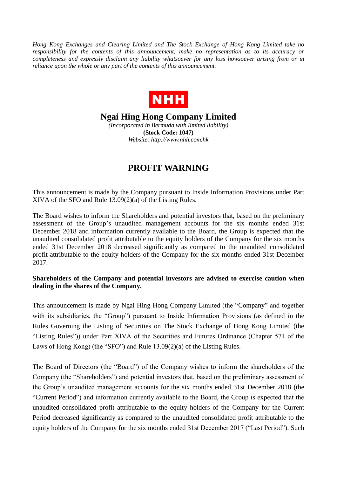*Hong Kong Exchanges and Clearing Limited and The Stock Exchange of Hong Kong Limited take no responsibility for the contents of this announcement, make no representation as to its accuracy or completeness and expressly disclaim any liability whatsoever for any loss howsoever arising from or in reliance upon the whole or any part of the contents of this announcement.*



**Ngai Hing Hong Company Limited**

*(Incorporated in Bermuda with limited liability)* **(Stock Code: 1047)** *Website: http://www.nhh.com.hk*

## **PROFIT WARNING**

This announcement is made by the Company pursuant to Inside Information Provisions under Part XIVA of the SFO and Rule 13.09(2)(a) of the Listing Rules.

The Board wishes to inform the Shareholders and potential investors that, based on the preliminary assessment of the Group's unaudited management accounts for the six months ended 31st December 2018 and information currently available to the Board, the Group is expected that the unaudited consolidated profit attributable to the equity holders of the Company for the six months ended 31st December 2018 decreased significantly as compared to the unaudited consolidated profit attributable to the equity holders of the Company for the six months ended 31st December 2017.

**Shareholders of the Company and potential investors are advised to exercise caution when dealing in the shares of the Company.**

This announcement is made by Ngai Hing Hong Company Limited (the "Company" and together with its subsidiaries, the "Group") pursuant to Inside Information Provisions (as defined in the Rules Governing the Listing of Securities on The Stock Exchange of Hong Kong Limited (the "Listing Rules")) under Part XIVA of the Securities and Futures Ordinance (Chapter 571 of the Laws of Hong Kong) (the "SFO") and Rule 13.09(2)(a) of the Listing Rules.

The Board of Directors (the "Board") of the Company wishes to inform the shareholders of the Company (the "Shareholders") and potential investors that, based on the preliminary assessment of the Group's unaudited management accounts for the six months ended 31st December 2018 (the "Current Period") and information currently available to the Board, the Group is expected that the unaudited consolidated profit attributable to the equity holders of the Company for the Current Period decreased significantly as compared to the unaudited consolidated profit attributable to the equity holders of the Company for the six months ended 31st December 2017 ("Last Period"). Such